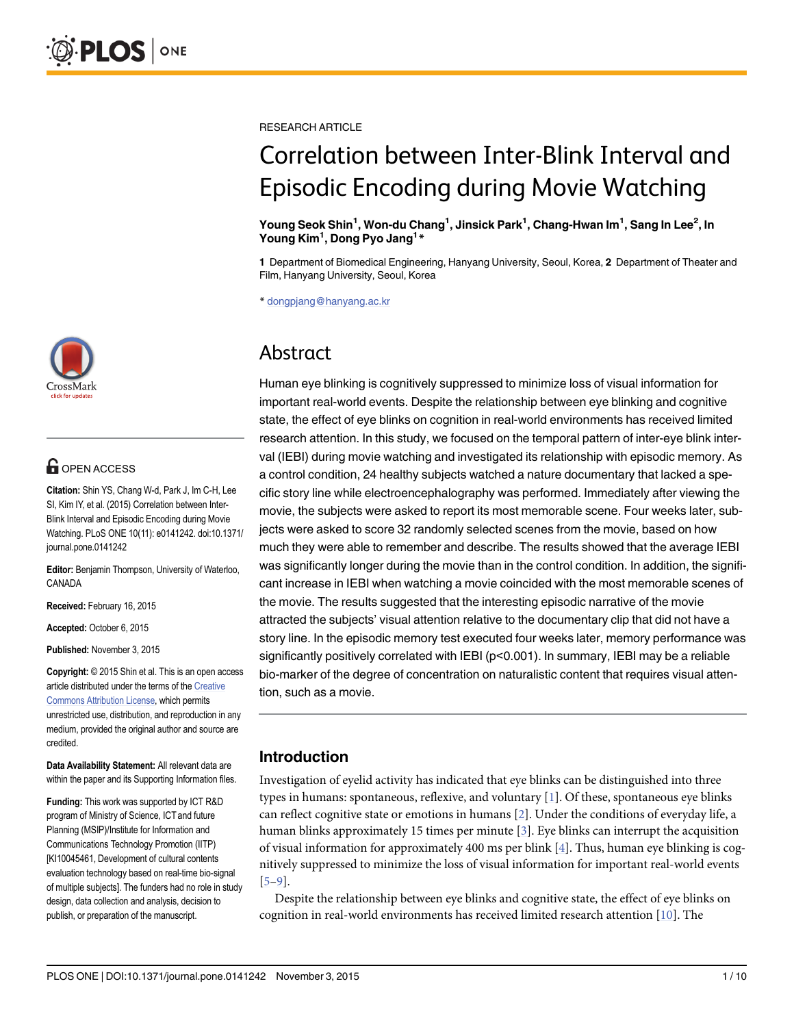

# **OPEN ACCESS**

Citation: Shin YS, Chang W-d, Park J, Im C-H, Lee SI, Kim IY, et al. (2015) Correlation between Inter-Blink Interval and Episodic Encoding during Movie Watching. PLoS ONE 10(11): e0141242. doi:10.1371/ journal.pone.0141242

Editor: Benjamin Thompson, University of Waterloo, CANADA

Received: February 16, 2015

Accepted: October 6, 2015

Published: November 3, 2015

Copyright: © 2015 Shin et al. This is an open access article distributed under the terms of the [Creative](http://creativecommons.org/licenses/by/4.0/) [Commons Attribution License](http://creativecommons.org/licenses/by/4.0/), which permits unrestricted use, distribution, and reproduction in any medium, provided the original author and source are credited.

Data Availability Statement: All relevant data are within the paper and its Supporting Information files.

Funding: This work was supported by ICT R&D program of Ministry of Science, ICT and future Planning (MSIP)/Institute for Information and Communications Technology Promotion (IITP) [KI10045461, Development of cultural contents evaluation technology based on real-time bio-signal of multiple subjects]. The funders had no role in study design, data collection and analysis, decision to publish, or preparation of the manuscript.

<span id="page-0-0"></span>RESEARCH ARTICLE

# Correlation between Inter-Blink Interval and Episodic Encoding during Movie Watching

#### Young Seok Shin<sup>1</sup>, Won-du Chang<sup>1</sup>, Jinsick Park<sup>1</sup>, Chang-Hwan Im<sup>1</sup>, Sang In Lee<sup>2</sup>, In Young Kim<sup>1</sup>, Dong Pyo Jang<sup>1\*</sup>

1 Department of Biomedical Engineering, Hanyang University, Seoul, Korea, 2 Department of Theater and Film, Hanyang University, Seoul, Korea

\* dongpjang@hanyang.ac.kr

# Abstract

Human eye blinking is cognitively suppressed to minimize loss of visual information for important real-world events. Despite the relationship between eye blinking and cognitive state, the effect of eye blinks on cognition in real-world environments has received limited research attention. In this study, we focused on the temporal pattern of inter-eye blink interval (IEBI) during movie watching and investigated its relationship with episodic memory. As a control condition, 24 healthy subjects watched a nature documentary that lacked a specific story line while electroencephalography was performed. Immediately after viewing the movie, the subjects were asked to report its most memorable scene. Four weeks later, subjects were asked to score 32 randomly selected scenes from the movie, based on how much they were able to remember and describe. The results showed that the average IEBI was significantly longer during the movie than in the control condition. In addition, the significant increase in IEBI when watching a movie coincided with the most memorable scenes of the movie. The results suggested that the interesting episodic narrative of the movie attracted the subjects' visual attention relative to the documentary clip that did not have a story line. In the episodic memory test executed four weeks later, memory performance was significantly positively correlated with IEBI (p<0.001). In summary, IEBI may be a reliable bio-marker of the degree of concentration on naturalistic content that requires visual attention, such as a movie.

# Introduction

Investigation of eyelid activity has indicated that eye blinks can be distinguished into three types in humans: spontaneous, reflexive, and voluntary [\[1\]](#page-7-0). Of these, spontaneous eye blinks can reflect cognitive state or emotions in humans [[2\]](#page-7-0). Under the conditions of everyday life, a human blinks approximately 15 times per minute  $[3]$  $[3]$ . Eye blinks can interrupt the acquisition of visual information for approximately 400 ms per blink [\[4\]](#page-7-0). Thus, human eye blinking is cognitively suppressed to minimize the loss of visual information for important real-world events [\[5](#page-7-0)–[9](#page-8-0)].

Despite the relationship between eye blinks and cognitive state, the effect of eye blinks on cognition in real-world environments has received limited research attention [\[10\]](#page-8-0). The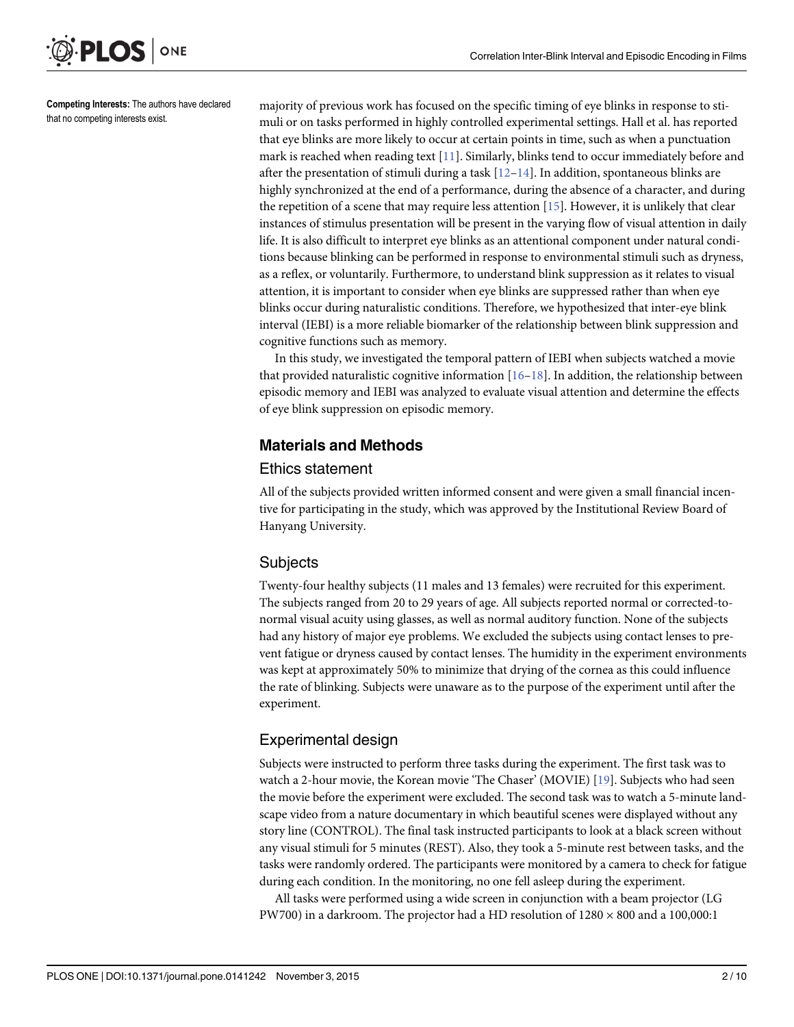<span id="page-1-0"></span>Competing Interests: The authors have declared

ONE

**PLOS I** 

that no competing interests exist.

majority of previous work has focused on the specific timing of eye blinks in response to stimuli or on tasks performed in highly controlled experimental settings. Hall et al. has reported that eye blinks are more likely to occur at certain points in time, such as when a punctuation mark is reached when reading text  $[11]$  $[11]$  $[11]$ . Similarly, blinks tend to occur immediately before and after the presentation of stimuli during a task  $[12-14]$  $[12-14]$  $[12-14]$  $[12-14]$ . In addition, spontaneous blinks are highly synchronized at the end of a performance, during the absence of a character, and during the repetition of a scene that may require less attention [\[15\]](#page-8-0). However, it is unlikely that clear instances of stimulus presentation will be present in the varying flow of visual attention in daily life. It is also difficult to interpret eye blinks as an attentional component under natural conditions because blinking can be performed in response to environmental stimuli such as dryness, as a reflex, or voluntarily. Furthermore, to understand blink suppression as it relates to visual attention, it is important to consider when eye blinks are suppressed rather than when eye blinks occur during naturalistic conditions. Therefore, we hypothesized that inter-eye blink interval (IEBI) is a more reliable biomarker of the relationship between blink suppression and cognitive functions such as memory.

In this study, we investigated the temporal pattern of IEBI when subjects watched a movie that provided naturalistic cognitive information  $[16–18]$  $[16–18]$  $[16–18]$  $[16–18]$  $[16–18]$ . In addition, the relationship between episodic memory and IEBI was analyzed to evaluate visual attention and determine the effects of eye blink suppression on episodic memory.

# Materials and Methods

#### Ethics statement

All of the subjects provided written informed consent and were given a small financial incentive for participating in the study, which was approved by the Institutional Review Board of Hanyang University.

#### **Subjects**

Twenty-four healthy subjects (11 males and 13 females) were recruited for this experiment. The subjects ranged from 20 to 29 years of age. All subjects reported normal or corrected-tonormal visual acuity using glasses, as well as normal auditory function. None of the subjects had any history of major eye problems. We excluded the subjects using contact lenses to prevent fatigue or dryness caused by contact lenses. The humidity in the experiment environments was kept at approximately 50% to minimize that drying of the cornea as this could influence the rate of blinking. Subjects were unaware as to the purpose of the experiment until after the experiment.

# Experimental design

Subjects were instructed to perform three tasks during the experiment. The first task was to watch a 2-hour movie, the Korean movie 'The Chaser' (MOVIE) [[19](#page-8-0)]. Subjects who had seen the movie before the experiment were excluded. The second task was to watch a 5-minute landscape video from a nature documentary in which beautiful scenes were displayed without any story line (CONTROL). The final task instructed participants to look at a black screen without any visual stimuli for 5 minutes (REST). Also, they took a 5-minute rest between tasks, and the tasks were randomly ordered. The participants were monitored by a camera to check for fatigue during each condition. In the monitoring, no one fell asleep during the experiment.

All tasks were performed using a wide screen in conjunction with a beam projector (LG PW700) in a darkroom. The projector had a HD resolution of  $1280 \times 800$  and a  $100,000:1$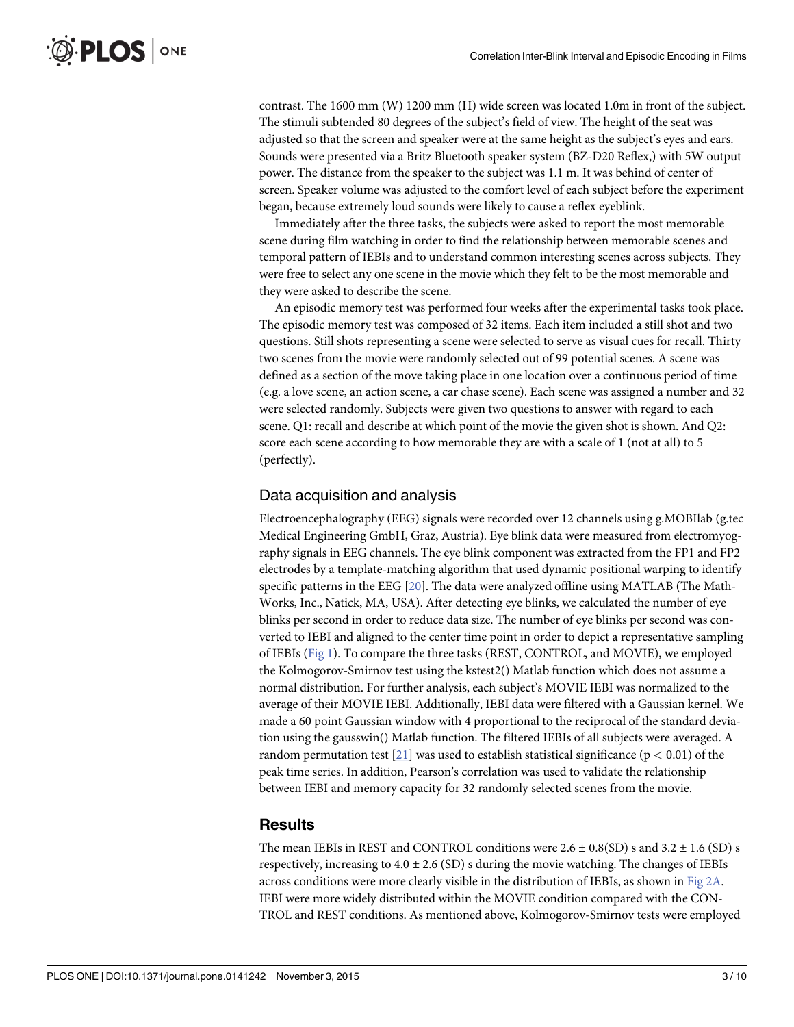<span id="page-2-0"></span>contrast. The 1600 mm (W) 1200 mm (H) wide screen was located 1.0m in front of the subject. The stimuli subtended 80 degrees of the subject's field of view. The height of the seat was adjusted so that the screen and speaker were at the same height as the subject's eyes and ears. Sounds were presented via a Britz Bluetooth speaker system (BZ-D20 Reflex,) with 5W output power. The distance from the speaker to the subject was 1.1 m. It was behind of center of screen. Speaker volume was adjusted to the comfort level of each subject before the experiment began, because extremely loud sounds were likely to cause a reflex eyeblink.

Immediately after the three tasks, the subjects were asked to report the most memorable scene during film watching in order to find the relationship between memorable scenes and temporal pattern of IEBIs and to understand common interesting scenes across subjects. They were free to select any one scene in the movie which they felt to be the most memorable and they were asked to describe the scene.

An episodic memory test was performed four weeks after the experimental tasks took place. The episodic memory test was composed of 32 items. Each item included a still shot and two questions. Still shots representing a scene were selected to serve as visual cues for recall. Thirty two scenes from the movie were randomly selected out of 99 potential scenes. A scene was defined as a section of the move taking place in one location over a continuous period of time (e.g. a love scene, an action scene, a car chase scene). Each scene was assigned a number and 32 were selected randomly. Subjects were given two questions to answer with regard to each scene. Q1: recall and describe at which point of the movie the given shot is shown. And Q2: score each scene according to how memorable they are with a scale of 1 (not at all) to 5 (perfectly).

#### Data acquisition and analysis

Electroencephalography (EEG) signals were recorded over 12 channels using g.MOBIlab (g.tec Medical Engineering GmbH, Graz, Austria). Eye blink data were measured from electromyography signals in EEG channels. The eye blink component was extracted from the FP1 and FP2 electrodes by a template-matching algorithm that used dynamic positional warping to identify specific patterns in the EEG [\[20\]](#page-8-0). The data were analyzed offline using MATLAB (The Math-Works, Inc., Natick, MA, USA). After detecting eye blinks, we calculated the number of eye blinks per second in order to reduce data size. The number of eye blinks per second was converted to IEBI and aligned to the center time point in order to depict a representative sampling of IEBIs ([Fig 1\)](#page-3-0). To compare the three tasks (REST, CONTROL, and MOVIE), we employed the Kolmogorov-Smirnov test using the kstest2() Matlab function which does not assume a normal distribution. For further analysis, each subject's MOVIE IEBI was normalized to the average of their MOVIE IEBI. Additionally, IEBI data were filtered with a Gaussian kernel. We made a 60 point Gaussian window with 4 proportional to the reciprocal of the standard deviation using the gausswin() Matlab function. The filtered IEBIs of all subjects were averaged. A random permutation test  $[21]$  $[21]$  $[21]$  was used to establish statistical significance ( $p < 0.01$ ) of the peak time series. In addition, Pearson's correlation was used to validate the relationship between IEBI and memory capacity for 32 randomly selected scenes from the movie.

#### **Results**

The mean IEBIs in REST and CONTROL conditions were  $2.6 \pm 0.8(SD)$  s and  $3.2 \pm 1.6$  (SD) s respectively, increasing to  $4.0 \pm 2.6$  (SD) s during the movie watching. The changes of IEBIs across conditions were more clearly visible in the distribution of IEBIs, as shown in [Fig 2A](#page-3-0). IEBI were more widely distributed within the MOVIE condition compared with the CON-TROL and REST conditions. As mentioned above, Kolmogorov-Smirnov tests were employed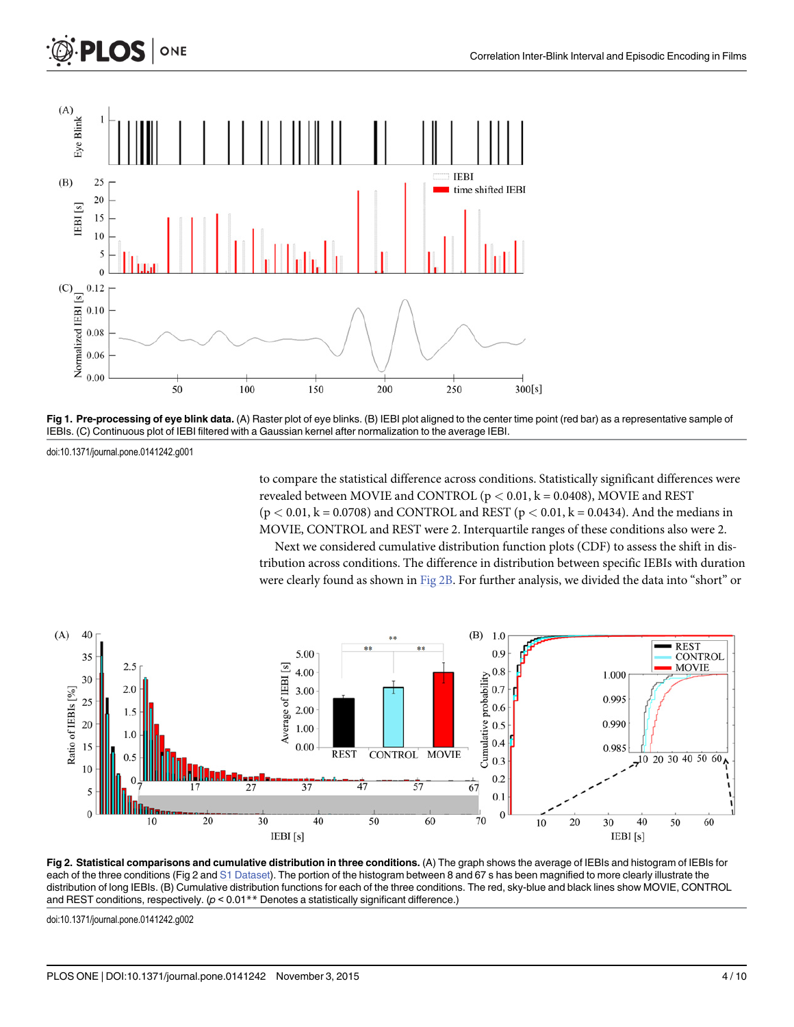<span id="page-3-0"></span>

[Fig 1. P](#page-2-0)re-processing of eye blink data. (A) Raster plot of eye blinks. (B) IEBI plot aligned to the center time point (red bar) as a representative sample of IEBIs. (C) Continuous plot of IEBI filtered with a Gaussian kernel after normalization to the average IEBI.

doi:10.1371/journal.pone.0141242.g001

to compare the statistical difference across conditions. Statistically significant differences were revealed between MOVIE and CONTROL ( $p < 0.01$ ,  $k = 0.0408$ ), MOVIE and REST  $(p < 0.01, k = 0.0708)$  and CONTROL and REST  $(p < 0.01, k = 0.0434)$ . And the medians in MOVIE, CONTROL and REST were 2. Interquartile ranges of these conditions also were 2.

Next we considered cumulative distribution function plots (CDF) to assess the shift in distribution across conditions. The difference in distribution between specific IEBIs with duration were clearly found as shown in Fig 2B. For further analysis, we divided the data into "short" or



[Fig 2. S](#page-2-0)tatistical comparisons and cumulative distribution in three conditions. (A) The graph shows the average of IEBIs and histogram of IEBIs for each of the three conditions (Fig 2 and [S1 Dataset](#page-7-0)). The portion of the histogram between 8 and 67 s has been magnified to more clearly illustrate the distribution of long IEBIs. (B) Cumulative distribution functions for each of the three conditions. The red, sky-blue and black lines show MOVIE, CONTROL and REST conditions, respectively.  $(p < 0.01**$  Denotes a statistically significant difference.)

doi:10.1371/journal.pone.0141242.g002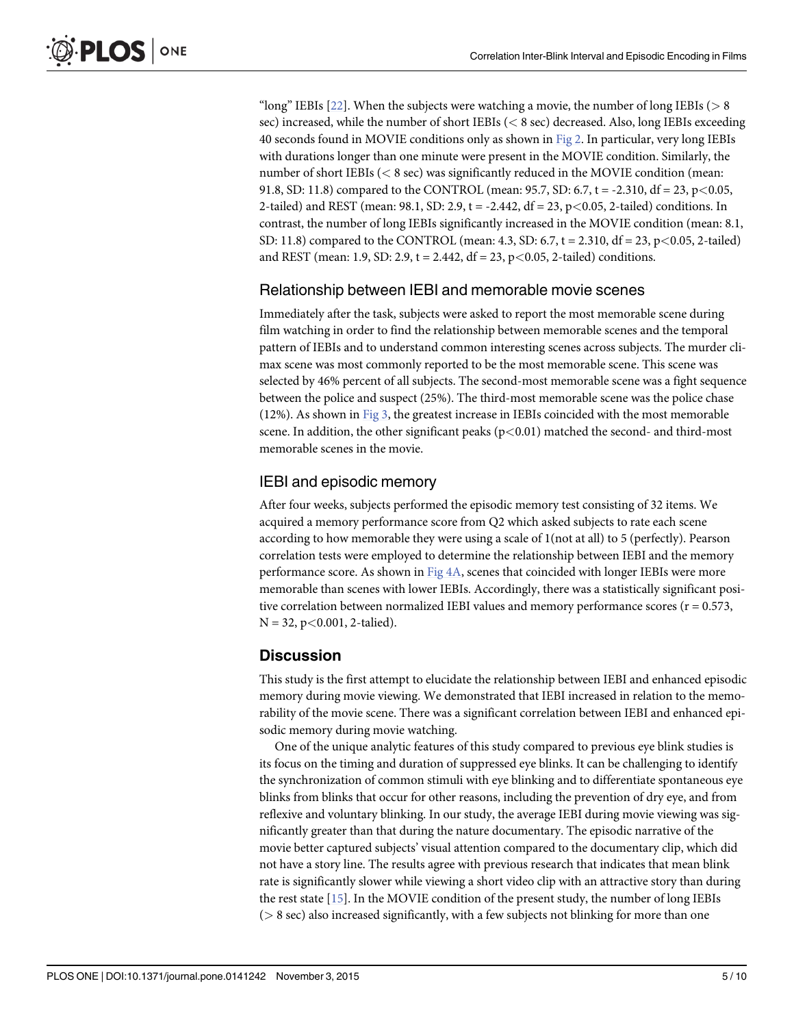<span id="page-4-0"></span>"long" IEBIs  $[22]$ . When the subjects were watching a movie, the number of long IEBIs ( $> 8$ sec) increased, while the number of short IEBIs (< 8 sec) decreased. Also, long IEBIs exceeding 40 seconds found in MOVIE conditions only as shown in [Fig 2](#page-3-0). In particular, very long IEBIs with durations longer than one minute were present in the MOVIE condition. Similarly, the number of short IEBIs (< 8 sec) was significantly reduced in the MOVIE condition (mean: 91.8, SD: 11.8) compared to the CONTROL (mean: 95.7, SD: 6.7, t = -2.310, df = 23, p < 0.05, 2-tailed) and REST (mean: 98.1, SD: 2.9, t = -2.442, df = 23, p<0.05, 2-tailed) conditions. In contrast, the number of long IEBIs significantly increased in the MOVIE condition (mean: 8.1, SD: 11.8) compared to the CONTROL (mean: 4.3, SD: 6.7,  $t = 2.310$ , df = 23, p < 0.05, 2-tailed) and REST (mean: 1.9, SD: 2.9,  $t = 2.442$ ,  $df = 23$ ,  $p < 0.05$ , 2-tailed) conditions.

#### Relationship between IEBI and memorable movie scenes

Immediately after the task, subjects were asked to report the most memorable scene during film watching in order to find the relationship between memorable scenes and the temporal pattern of IEBIs and to understand common interesting scenes across subjects. The murder climax scene was most commonly reported to be the most memorable scene. This scene was selected by 46% percent of all subjects. The second-most memorable scene was a fight sequence between the police and suspect (25%). The third-most memorable scene was the police chase (12%). As shown in [Fig 3](#page-5-0), the greatest increase in IEBIs coincided with the most memorable scene. In addition, the other significant peaks  $(p<0.01)$  matched the second- and third-most memorable scenes in the movie.

#### IEBI and episodic memory

After four weeks, subjects performed the episodic memory test consisting of 32 items. We acquired a memory performance score from Q2 which asked subjects to rate each scene according to how memorable they were using a scale of 1(not at all) to 5 (perfectly). Pearson correlation tests were employed to determine the relationship between IEBI and the memory performance score. As shown in  $Fig 4A$ , scenes that coincided with longer IEBIs were more memorable than scenes with lower IEBIs. Accordingly, there was a statistically significant positive correlation between normalized IEBI values and memory performance scores ( $r = 0.573$ ,  $N = 32$ , p<0.001, 2-talied).

#### **Discussion**

This study is the first attempt to elucidate the relationship between IEBI and enhanced episodic memory during movie viewing. We demonstrated that IEBI increased in relation to the memorability of the movie scene. There was a significant correlation between IEBI and enhanced episodic memory during movie watching.

One of the unique analytic features of this study compared to previous eye blink studies is its focus on the timing and duration of suppressed eye blinks. It can be challenging to identify the synchronization of common stimuli with eye blinking and to differentiate spontaneous eye blinks from blinks that occur for other reasons, including the prevention of dry eye, and from reflexive and voluntary blinking. In our study, the average IEBI during movie viewing was significantly greater than that during the nature documentary. The episodic narrative of the movie better captured subjects' visual attention compared to the documentary clip, which did not have a story line. The results agree with previous research that indicates that mean blink rate is significantly slower while viewing a short video clip with an attractive story than during the rest state [\[15\]](#page-8-0). In the MOVIE condition of the present study, the number of long IEBIs  $($  > 8 sec) also increased significantly, with a few subjects not blinking for more than one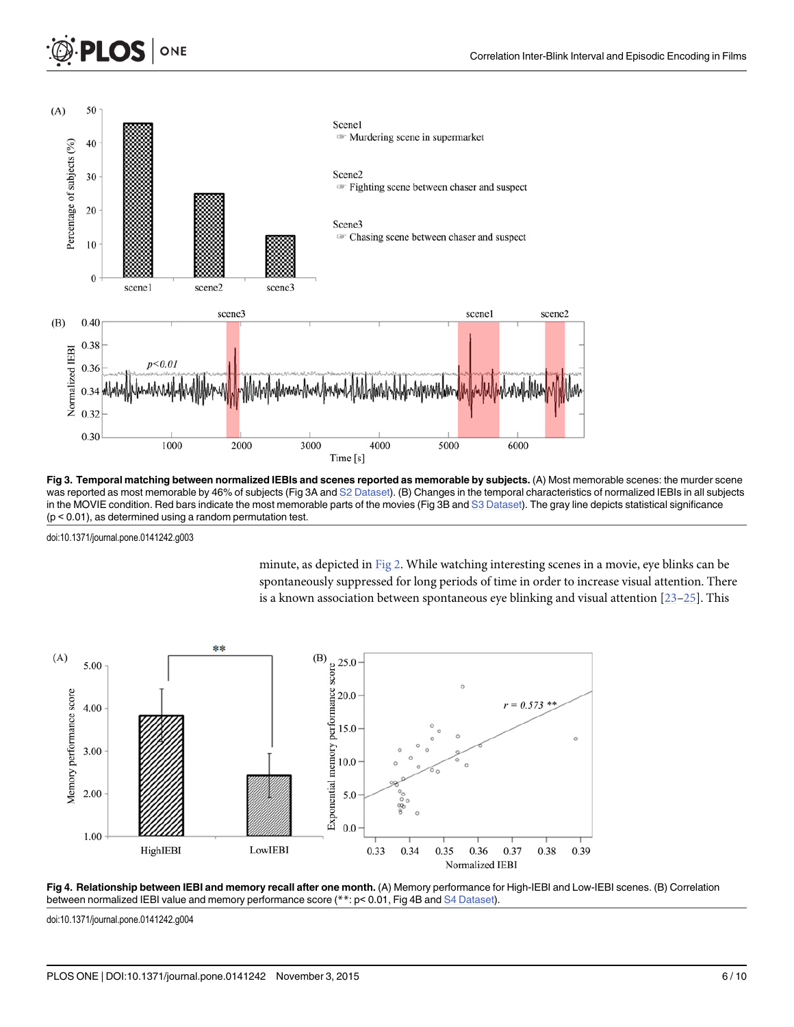<span id="page-5-0"></span>

[Fig 3. T](#page-4-0)emporal matching between normalized IEBIs and scenes reported as memorable by subjects. (A) Most memorable scenes: the murder scene was reported as most memorable by 46% of subjects (Fig 3A and [S2 Dataset\)](#page-7-0). (B) Changes in the temporal characteristics of normalized IEBIs in all subjects in the MOVIE condition. Red bars indicate the most memorable parts of the movies (Fig 3B and [S3 Dataset](#page-7-0)). The gray line depicts statistical significance (p < 0.01), as determined using a random permutation test.

doi:10.1371/journal.pone.0141242.g003

minute, as depicted in [Fig 2.](#page-3-0) While watching interesting scenes in a movie, eye blinks can be spontaneously suppressed for long periods of time in order to increase visual attention. There is a known association between spontaneous eye blinking and visual attention  $[23-25]$  $[23-25]$  $[23-25]$  $[23-25]$ . This





doi:10.1371/journal.pone.0141242.g004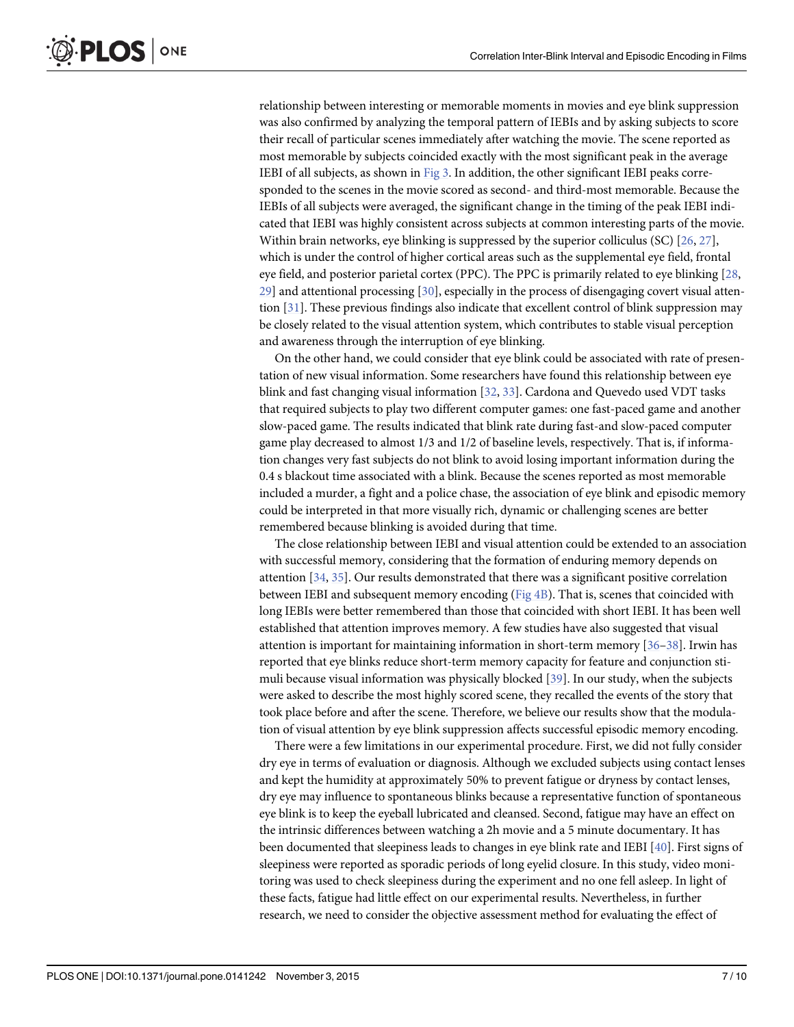<span id="page-6-0"></span>relationship between interesting or memorable moments in movies and eye blink suppression was also confirmed by analyzing the temporal pattern of IEBIs and by asking subjects to score their recall of particular scenes immediately after watching the movie. The scene reported as most memorable by subjects coincided exactly with the most significant peak in the average IEBI of all subjects, as shown in [Fig 3](#page-5-0). In addition, the other significant IEBI peaks corresponded to the scenes in the movie scored as second- and third-most memorable. Because the IEBIs of all subjects were averaged, the significant change in the timing of the peak IEBI indicated that IEBI was highly consistent across subjects at common interesting parts of the movie. Within brain networks, eye blinking is suppressed by the superior colliculus (SC)  $[26, 27]$  $[26, 27]$  $[26, 27]$ , which is under the control of higher cortical areas such as the supplemental eye field, frontal eye field, and posterior parietal cortex (PPC). The PPC is primarily related to eye blinking [[28](#page-8-0),  $29$ ] and attentional processing  $[30]$ , especially in the process of disengaging covert visual attention [[31](#page-8-0)]. These previous findings also indicate that excellent control of blink suppression may be closely related to the visual attention system, which contributes to stable visual perception and awareness through the interruption of eye blinking.

On the other hand, we could consider that eye blink could be associated with rate of presentation of new visual information. Some researchers have found this relationship between eye blink and fast changing visual information [[32](#page-9-0), [33](#page-9-0)]. Cardona and Quevedo used VDT tasks that required subjects to play two different computer games: one fast-paced game and another slow-paced game. The results indicated that blink rate during fast-and slow-paced computer game play decreased to almost 1/3 and 1/2 of baseline levels, respectively. That is, if information changes very fast subjects do not blink to avoid losing important information during the 0.4 s blackout time associated with a blink. Because the scenes reported as most memorable included a murder, a fight and a police chase, the association of eye blink and episodic memory could be interpreted in that more visually rich, dynamic or challenging scenes are better remembered because blinking is avoided during that time.

The close relationship between IEBI and visual attention could be extended to an association with successful memory, considering that the formation of enduring memory depends on attention [[34](#page-9-0), [35](#page-9-0)]. Our results demonstrated that there was a significant positive correlation between IEBI and subsequent memory encoding [\(Fig 4B\)](#page-5-0). That is, scenes that coincided with long IEBIs were better remembered than those that coincided with short IEBI. It has been well established that attention improves memory. A few studies have also suggested that visual attention is important for maintaining information in short-term memory  $[36-38]$  $[36-38]$  $[36-38]$ . Irwin has reported that eye blinks reduce short-term memory capacity for feature and conjunction stimuli because visual information was physically blocked [\[39](#page-9-0)]. In our study, when the subjects were asked to describe the most highly scored scene, they recalled the events of the story that took place before and after the scene. Therefore, we believe our results show that the modulation of visual attention by eye blink suppression affects successful episodic memory encoding.

There were a few limitations in our experimental procedure. First, we did not fully consider dry eye in terms of evaluation or diagnosis. Although we excluded subjects using contact lenses and kept the humidity at approximately 50% to prevent fatigue or dryness by contact lenses, dry eye may influence to spontaneous blinks because a representative function of spontaneous eye blink is to keep the eyeball lubricated and cleansed. Second, fatigue may have an effect on the intrinsic differences between watching a 2h movie and a 5 minute documentary. It has been documented that sleepiness leads to changes in eye blink rate and IEBI [[40](#page-9-0)]. First signs of sleepiness were reported as sporadic periods of long eyelid closure. In this study, video monitoring was used to check sleepiness during the experiment and no one fell asleep. In light of these facts, fatigue had little effect on our experimental results. Nevertheless, in further research, we need to consider the objective assessment method for evaluating the effect of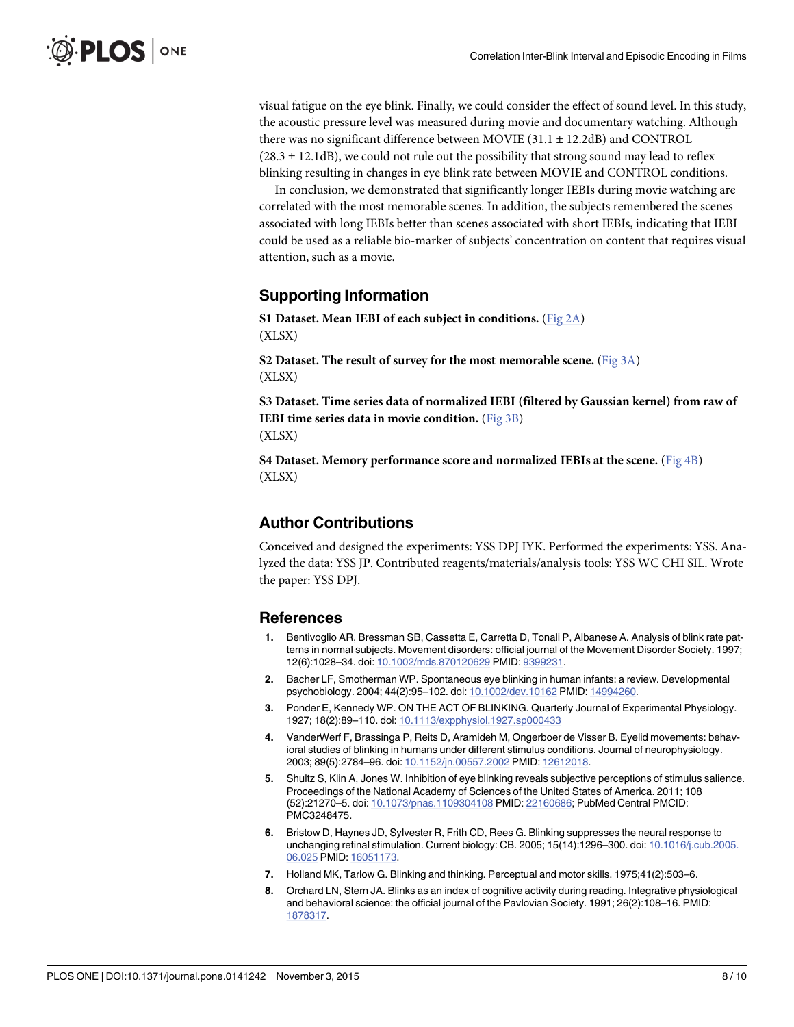<span id="page-7-0"></span>visual fatigue on the eye blink. Finally, we could consider the effect of sound level. In this study, the acoustic pressure level was measured during movie and documentary watching. Although there was no significant difference between MOVIE  $(31.1 \pm 12.2$ dB) and CONTROL  $(28.3 \pm 12.1$ dB), we could not rule out the possibility that strong sound may lead to reflex blinking resulting in changes in eye blink rate between MOVIE and CONTROL conditions.

In conclusion, we demonstrated that significantly longer IEBIs during movie watching are correlated with the most memorable scenes. In addition, the subjects remembered the scenes associated with long IEBIs better than scenes associated with short IEBIs, indicating that IEBI could be used as a reliable bio-marker of subjects' concentration on content that requires visual attention, such as a movie.

# Supporting Information

[S1 Dataset.](http://www.plosone.org/article/fetchSingleRepresentation.action?uri=info:doi/10.1371/journal.pone.0141242.s001) Mean IEBI of each subject in conditions. ([Fig 2A\)](#page-3-0) (XLSX)

[S2 Dataset.](http://www.plosone.org/article/fetchSingleRepresentation.action?uri=info:doi/10.1371/journal.pone.0141242.s002) The result of survey for the most memorable scene. (Fig  $3A$ ) (XLSX)

[S3 Dataset.](http://www.plosone.org/article/fetchSingleRepresentation.action?uri=info:doi/10.1371/journal.pone.0141242.s003) Time series data of normalized IEBI (filtered by Gaussian kernel) from raw of IEBI time series data in movie condition. ([Fig 3B](#page-5-0)) (XLSX)

[S4 Dataset.](http://www.plosone.org/article/fetchSingleRepresentation.action?uri=info:doi/10.1371/journal.pone.0141242.s004) Memory performance score and normalized IEBIs at the scene. [\(Fig 4B\)](#page-5-0) (XLSX)

# Author Contributions

Conceived and designed the experiments: YSS DPJ IYK. Performed the experiments: YSS. Analyzed the data: YSS JP. Contributed reagents/materials/analysis tools: YSS WC CHI SIL. Wrote the paper: YSS DPJ.

#### References

- [1.](#page-0-0) Bentivoglio AR, Bressman SB, Cassetta E, Carretta D, Tonali P, Albanese A. Analysis of blink rate patterns in normal subjects. Movement disorders: official journal of the Movement Disorder Society. 1997; 12(6):1028–34. doi: [10.1002/mds.870120629](http://dx.doi.org/10.1002/mds.870120629) PMID: [9399231](http://www.ncbi.nlm.nih.gov/pubmed/9399231).
- [2.](#page-0-0) Bacher LF, Smotherman WP. Spontaneous eye blinking in human infants: a review. Developmental psychobiology. 2004; 44(2):95–102. doi: [10.1002/dev.10162](http://dx.doi.org/10.1002/dev.10162) PMID: [14994260](http://www.ncbi.nlm.nih.gov/pubmed/14994260).
- [3.](#page-0-0) Ponder E, Kennedy WP. ON THE ACT OF BLINKING. Quarterly Journal of Experimental Physiology. 1927; 18(2):89–110. doi: [10.1113/expphysiol.1927.sp000433](http://dx.doi.org/10.1113/expphysiol.1927.sp000433)
- [4.](#page-0-0) VanderWerf F, Brassinga P, Reits D, Aramideh M, Ongerboer de Visser B. Eyelid movements: behavioral studies of blinking in humans under different stimulus conditions. Journal of neurophysiology. 2003; 89(5):2784–96. doi: [10.1152/jn.00557.2002](http://dx.doi.org/10.1152/jn.00557.2002) PMID: [12612018.](http://www.ncbi.nlm.nih.gov/pubmed/12612018)
- [5.](#page-0-0) Shultz S, Klin A, Jones W. Inhibition of eye blinking reveals subjective perceptions of stimulus salience. Proceedings of the National Academy of Sciences of the United States of America. 2011; 108 (52):21270–5. doi: [10.1073/pnas.1109304108](http://dx.doi.org/10.1073/pnas.1109304108) PMID: [22160686](http://www.ncbi.nlm.nih.gov/pubmed/22160686); PubMed Central PMCID: PMC3248475.
- 6. Bristow D, Haynes JD, Sylvester R, Frith CD, Rees G. Blinking suppresses the neural response to unchanging retinal stimulation. Current biology: CB. 2005; 15(14):1296–300. doi: [10.1016/j.cub.2005.](http://dx.doi.org/10.1016/j.cub.2005.06.025) [06.025](http://dx.doi.org/10.1016/j.cub.2005.06.025) PMID: [16051173.](http://www.ncbi.nlm.nih.gov/pubmed/16051173)
- 7. Holland MK, Tarlow G. Blinking and thinking. Perceptual and motor skills. 1975;41(2):503–6.
- 8. Orchard LN, Stern JA. Blinks as an index of cognitive activity during reading. Integrative physiological and behavioral science: the official journal of the Pavlovian Society. 1991; 26(2):108–16. PMID: [1878317.](http://www.ncbi.nlm.nih.gov/pubmed/1878317)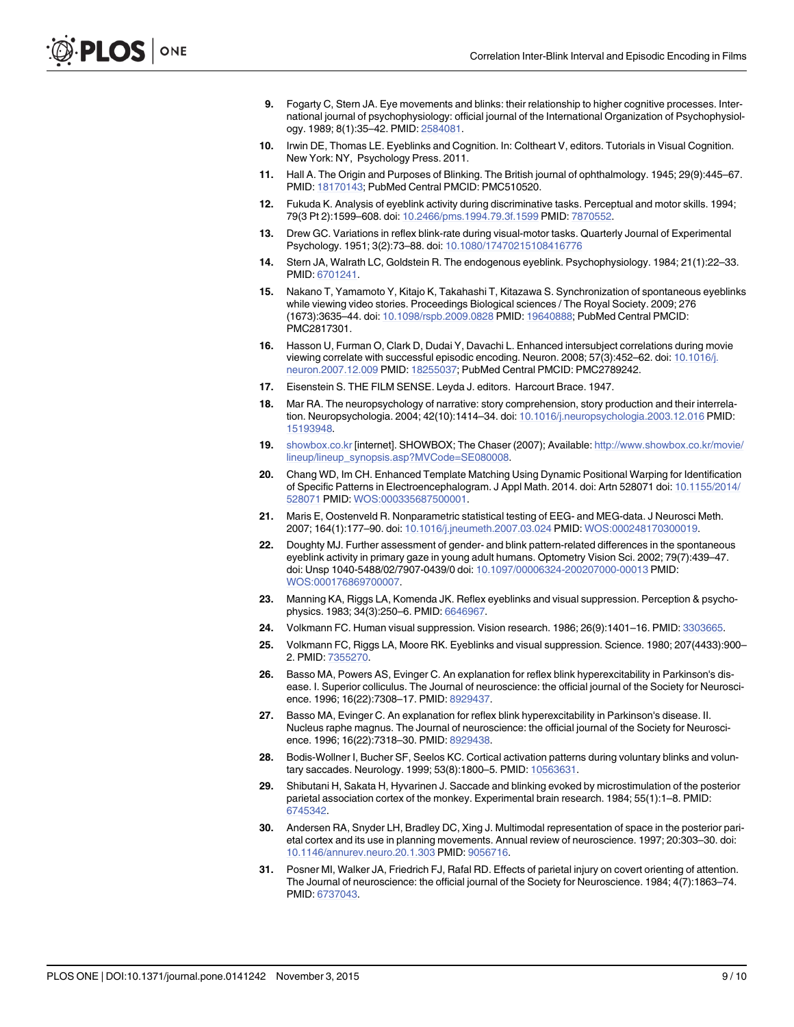- <span id="page-8-0"></span>[9.](#page-0-0) Fogarty C, Stern JA. Eye movements and blinks: their relationship to higher cognitive processes. International journal of psychophysiology: official journal of the International Organization of Psychophysiology. 1989; 8(1):35–42. PMID: [2584081.](http://www.ncbi.nlm.nih.gov/pubmed/2584081)
- [10.](#page-0-0) Irwin DE, Thomas LE. Eyeblinks and Cognition. In: Coltheart V, editors. Tutorials in Visual Cognition. New York: NY, Psychology Press. 2011.
- [11.](#page-1-0) Hall A. The Origin and Purposes of Blinking. The British journal of ophthalmology. 1945; 29(9):445–67. PMID: [18170143;](http://www.ncbi.nlm.nih.gov/pubmed/18170143) PubMed Central PMCID: PMC510520.
- [12.](#page-1-0) Fukuda K. Analysis of eyeblink activity during discriminative tasks. Perceptual and motor skills. 1994; 79(3 Pt 2):1599–608. doi: [10.2466/pms.1994.79.3f.1599](http://dx.doi.org/10.2466/pms.1994.79.3f.1599) PMID: [7870552.](http://www.ncbi.nlm.nih.gov/pubmed/7870552)
- 13. Drew GC. Variations in reflex blink-rate during visual-motor tasks. Quarterly Journal of Experimental Psychology. 1951; 3(2):73–88. doi: [10.1080/17470215108416776](http://dx.doi.org/10.1080/17470215108416776)
- [14.](#page-1-0) Stern JA, Walrath LC, Goldstein R. The endogenous eyeblink. Psychophysiology. 1984; 21(1):22–33. PMID: [6701241.](http://www.ncbi.nlm.nih.gov/pubmed/6701241)
- [15.](#page-1-0) Nakano T, Yamamoto Y, Kitajo K, Takahashi T, Kitazawa S. Synchronization of spontaneous eyeblinks while viewing video stories. Proceedings Biological sciences / The Royal Society. 2009; 276 (1673):3635–44. doi: [10.1098/rspb.2009.0828](http://dx.doi.org/10.1098/rspb.2009.0828) PMID: [19640888](http://www.ncbi.nlm.nih.gov/pubmed/19640888); PubMed Central PMCID: PMC2817301.
- [16.](#page-1-0) Hasson U, Furman O, Clark D, Dudai Y, Davachi L. Enhanced intersubject correlations during movie viewing correlate with successful episodic encoding. Neuron. 2008; 57(3):452–62. doi: [10.1016/j.](http://dx.doi.org/10.1016/j.neuron.2007.12.009) [neuron.2007.12.009](http://dx.doi.org/10.1016/j.neuron.2007.12.009) PMID: [18255037](http://www.ncbi.nlm.nih.gov/pubmed/18255037); PubMed Central PMCID: PMC2789242.
- 17. Eisenstein S. THE FILM SENSE. Leyda J. editors. Harcourt Brace. 1947.
- [18.](#page-1-0) Mar RA. The neuropsychology of narrative: story comprehension, story production and their interrelation. Neuropsychologia. 2004; 42(10):1414–34. doi: [10.1016/j.neuropsychologia.2003.12.016](http://dx.doi.org/10.1016/j.neuropsychologia.2003.12.016) PMID: [15193948](http://www.ncbi.nlm.nih.gov/pubmed/15193948).
- [19.](#page-1-0) [showbox.co.kr](http://showbox.co.kr) [internet]. SHOWBOX; The Chaser (2007); Available: [http://www.showbox.co.kr/movie/](http://www.showbox.co.kr/movie/lineup/lineup_synopsis.asp?MVCode=SE080008) [lineup/lineup\\_synopsis.asp?MVCode=SE080008.](http://www.showbox.co.kr/movie/lineup/lineup_synopsis.asp?MVCode=SE080008)
- [20.](#page-2-0) Chang WD, Im CH. Enhanced Template Matching Using Dynamic Positional Warping for Identification of Specific Patterns in Electroencephalogram. J Appl Math. 2014. doi: Artn 528071 doi: [10.1155/2014/](http://dx.doi.org/10.1155/2014/528071) [528071](http://dx.doi.org/10.1155/2014/528071) PMID: [WOS:000335687500001](http://www.ncbi.nlm.nih.gov/pubmed/WOS:000335687500001).
- [21.](#page-2-0) Maris E, Oostenveld R. Nonparametric statistical testing of EEG- and MEG-data. J Neurosci Meth. 2007; 164(1):177–90. doi: [10.1016/j.jneumeth.2007.03.024](http://dx.doi.org/10.1016/j.jneumeth.2007.03.024) PMID: [WOS:000248170300019](http://www.ncbi.nlm.nih.gov/pubmed/WOS:000248170300019).
- [22.](#page-4-0) Doughty MJ. Further assessment of gender- and blink pattern-related differences in the spontaneous eyeblink activity in primary gaze in young adult humans. Optometry Vision Sci. 2002; 79(7):439–47. doi: Unsp 1040-5488/02/7907-0439/0 doi: [10.1097/00006324-200207000-00013](http://dx.doi.org/10.1097/00006324-200207000-00013) PMID: [WOS:000176869700007](http://www.ncbi.nlm.nih.gov/pubmed/WOS:000176869700007).
- [23.](#page-5-0) Manning KA, Riggs LA, Komenda JK. Reflex eyeblinks and visual suppression. Perception & psychophysics. 1983; 34(3):250–6. PMID: [6646967.](http://www.ncbi.nlm.nih.gov/pubmed/6646967)
- 24. Volkmann FC. Human visual suppression. Vision research. 1986; 26(9):1401–16. PMID: [3303665.](http://www.ncbi.nlm.nih.gov/pubmed/3303665)
- [25.](#page-5-0) Volkmann FC, Riggs LA, Moore RK. Eyeblinks and visual suppression. Science. 1980; 207(4433):900– 2. PMID: [7355270.](http://www.ncbi.nlm.nih.gov/pubmed/7355270)
- [26.](#page-6-0) Basso MA, Powers AS, Evinger C. An explanation for reflex blink hyperexcitability in Parkinson's disease. I. Superior colliculus. The Journal of neuroscience: the official journal of the Society for Neuroscience. 1996; 16(22):7308–17. PMID: [8929437.](http://www.ncbi.nlm.nih.gov/pubmed/8929437)
- [27.](#page-6-0) Basso MA, Evinger C. An explanation for reflex blink hyperexcitability in Parkinson's disease. II. Nucleus raphe magnus. The Journal of neuroscience: the official journal of the Society for Neuroscience. 1996; 16(22):7318–30. PMID: [8929438.](http://www.ncbi.nlm.nih.gov/pubmed/8929438)
- [28.](#page-6-0) Bodis-Wollner I, Bucher SF, Seelos KC. Cortical activation patterns during voluntary blinks and voluntary saccades. Neurology. 1999; 53(8):1800–5. PMID: [10563631.](http://www.ncbi.nlm.nih.gov/pubmed/10563631)
- [29.](#page-6-0) Shibutani H, Sakata H, Hyvarinen J. Saccade and blinking evoked by microstimulation of the posterior parietal association cortex of the monkey. Experimental brain research. 1984; 55(1):1–8. PMID: [6745342.](http://www.ncbi.nlm.nih.gov/pubmed/6745342)
- [30.](#page-6-0) Andersen RA, Snyder LH, Bradley DC, Xing J. Multimodal representation of space in the posterior parietal cortex and its use in planning movements. Annual review of neuroscience. 1997; 20:303–30. doi: [10.1146/annurev.neuro.20.1.303](http://dx.doi.org/10.1146/annurev.neuro.20.1.303) PMID: [9056716.](http://www.ncbi.nlm.nih.gov/pubmed/9056716)
- [31.](#page-6-0) Posner MI, Walker JA, Friedrich FJ, Rafal RD. Effects of parietal injury on covert orienting of attention. The Journal of neuroscience: the official journal of the Society for Neuroscience. 1984; 4(7):1863–74. PMID: [6737043.](http://www.ncbi.nlm.nih.gov/pubmed/6737043)